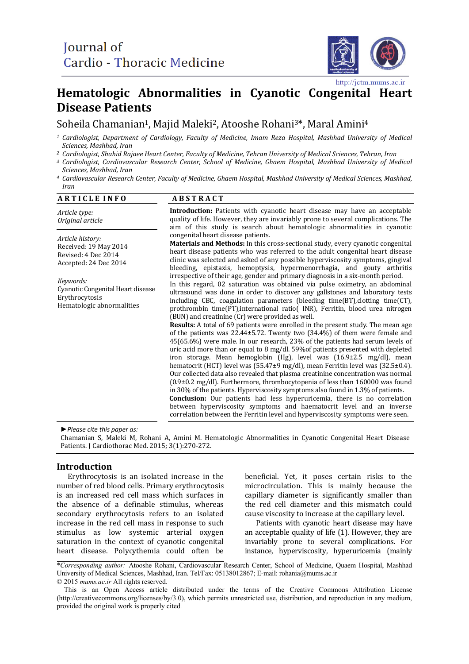

# **Hematologic Abnormalities in Cyanotic Congenital Heart Disease Patients**

Soheila Chamanian<sup>1</sup>, Majid Maleki<sup>2</sup>, Atooshe Rohani<sup>3\*</sup>, Maral Amini<sup>4</sup>

- *<sup>1</sup> Cardiologist, Department of Cardiology, Faculty of Medicine, Imam Reza Hospital, Mashhad University of Medical Sciences, Mashhad, Iran*
- <sup>2</sup> Cardiologist, Shahid Rajaee Heart Center, Faculty of Medicine, Tehran University of Medical Sciences, Tehran, Iran
- *<sup>3</sup> Cardiologist, Cardiovascular Research Center, School of Medicine, Ghaem Hospital, Mashhad University of Medical Sciences, Mashhad, Iran*
- *<sup>4</sup> Cardiovascular Research Center, Faculty of Medicine, Ghaem Hospital, Mashhad University of Medical Sciences, Mashhad, Iran*

#### **A R T I C L E I N F O A B S T R A C T**

*Article type: Original article*

**Introduction:** Patients with cyanotic heart disease may have an acceptable quality of life. However, they are invariably prone to several complications. The aim of this study is search about hematologic abnormalities in cyanotic congenital heart disease patients.

*Article history:* Received: 19 May 2014 Revised: 4 Dec 2014 Accepted: 24 Dec 2014

*Keywords:*  Cyanotic Congenital Heart disease Erythrocytosis Hematologic abnormalities

**Materials and Methods:** In this cross-sectional study, every cyanotic congenital heart disease patients who was referred to the adult congenital heart disease clinic was selected and asked of any possible hyperviscosity symptoms, gingival bleeding, epistaxis, hemoptysis, hypermenorrhagia, and gouty arthritis irrespective of their age, gender and primary diagnosis in a six-month period. In this regard, 02 saturation was obtained via pulse oximetry, an abdominal

ultrasound was done in order to discover any gallstones and laboratory tests including CBC, coagulation parameters (bleeding time(BT),clotting time(CT), prothrombin time(PT),international ratio( INR), Ferritin, blood urea nitrogen (BUN) and creatinine (Cr) were provided as well.

**Results:** A total of 69 patients were enrolled in the present study. The mean age of the patients was 22.44±5.72. Twenty two (34.4%) of them were female and 45(65.6%) were male. In our research, 23% of the patients had serum levels of uric acid more than or equal to 8 mg/dl. 59%of patients presented with depleted iron storage. Mean hemoglobin (Hg), level was (16.9±2.5 mg/dl), mean hematocrit (HCT) level was (55.47±9 mg/dl), mean Ferritin level was (32.5±0.4). Our collected data also revealed that plasma creatinine concentration was normal (0.9±0.2 mg/dl). Furthermore, thrombocytopenia of less than 160000 was found in 30% of the patients. Hyperviscosity symptoms also found in 1.3% of patients. **Conclusion:** Our patients had less hyperuricemia, there is no correlation between hyperviscosity symptoms and haematocrit level and an inverse correlation between the Ferritin level and hyperviscosity symptoms were seen.

*►Please cite this paper as:*

Chamanian S, Maleki M, Rohani A, Amini M. Hematologic Abnormalities in Cyanotic Congenital Heart Disease Patients. J Cardiothorac Med. 2015; 3(1):270-272.

# **Introduction**

Erythrocytosis is an isolated increase in the number of red blood cells. Primary erythrocytosis is an increased red cell mass which surfaces in the absence of a definable stimulus, whereas secondary erythrocytosis refers to an isolated increase in the red cell mass in response to such stimulus as low systemic arterial oxygen saturation in the context of cyanotic congenital heart disease. Polycythemia could often be

beneficial. Yet, it poses certain risks to the microcirculation. This is mainly because the capillary diameter is significantly smaller than the red cell diameter and this mismatch could cause viscosity to increase at the capillary level.

Patients with cyanotic heart disease may have an acceptable quality of life (1). However, they are invariably prone to several complications. For instance, hyperviscosity, hyperuricemia (mainly

<sup>\*</sup>*Corresponding author:* Atooshe Rohani, Cardiovascular Research Center, School of Medicine, Quaem Hospital, Mashhad University of Medical Sciences, Mashhad, Iran. Tel/Fax: 05138012867; E-mail: rohania@mums.ac.ir © 2015 *mums.ac.ir* All rights reserved.

This is an Open Access article distributed under the terms of the Creative Commons Attribution License (http://creativecommons.org/licenses/by/3.0), which permits unrestricted use, distribution, and reproduction in any medium, provided the original work is properly cited.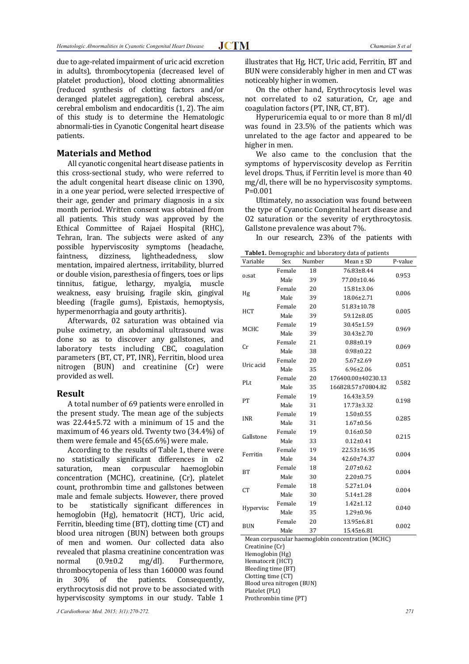due to age-related impairment of uric acid excretion in adults), thrombocytopenia (decreased level of platelet production), blood clotting abnormalities (reduced synthesis of clotting factors and/or deranged platelet aggregation), cerebral abscess, cerebral embolism and endocarditis (1, 2). The aim of this study is to determine the Hematologic abnormali-ties in Cyanotic Congenital heart disease patients.

# **Materials and Method**

All cyanotic congenital heart disease patients in this cross-sectional study, who were referred to the adult congenital heart disease clinic on 1390, in a one year period, were selected irrespective of their age, gender and primary diagnosis in a six month period. Written consent was obtained from all patients. This study was approved by the Ethical Committee of Rajaei Hospital (RHC), Tehran, Iran. The subjects were asked of any possible hyperviscosity symptoms (headache, faintness, dizziness, lightheadedness, slow mentation, impaired alertness, irritability, blurred or double vision, paresthesia of fingers, toes or lips tinnitus, fatigue, lethargy, myalgia, muscle weakness, easy bruising, fragile skin, gingival bleeding (fragile gums), Epistaxis, hemoptysis, hypermenorrhagia and gouty arthritis).

Afterwards, 02 saturation was obtained via pulse oximetry, an abdominal ultrasound was done so as to discover any gallstones, and laboratory tests including CBC, coagulation parameters (BT, CT, PT, INR), Ferritin, blood urea nitrogen (BUN) and creatinine (Cr) were provided as well.

### **Result**

A total number of 69 patients were enrolled in the present study. The mean age of the subjects was 22.44±5.72 with a minimum of 15 and the maximum of 46 years old. Twenty two (34.4%) of them were female and 45(65.6%) were male.

According to the results of Table 1, there were no statistically significant differences in o2 saturation, mean corpuscular haemoglobin concentration (MCHC), creatinine, (Cr), platelet count, prothrombin time and gallstones between male and female subjects. However, there proved to be statistically significant differences in hemoglobin (Hg), hematocrit (HCT), Uric acid, Ferritin, bleeding time (BT), clotting time (CT) and blood urea nitrogen (BUN) between both groups of men and women. Our collected data also revealed that plasma creatinine concentration was normal (0.9±0.2 mg/dl). Furthermore, thrombocytopenia of less than 160000 was found in 30% of the patients. Consequently, erythrocytosis did not prove to be associated with hyperviscosity symptoms in our study. Table 1

illustrates that Hg, HCT, Uric acid, Ferritin, BT and BUN were considerably higher in men and CT was noticeably higher in women.

On the other hand, Erythrocytosis level was not correlated to o2 saturation, Cr, age and coagulation factors (PT, INR, CT, BT).

Hyperuricemia equal to or more than 8 ml/dl was found in 23.5% of the patients which was unrelated to the age factor and appeared to be higher in men.

We also came to the conclusion that the symptoms of hyperviscosity develop as Ferritin level drops. Thus, if Ferritin level is more than 40 mg/dl, there will be no hyperviscosity symptoms. P=0.001

Ultimately, no association was found between the type of Cyanotic Congenital heart disease and O2 saturation or the severity of erythrocytosis. Gallstone prevalence was about 7%.

In our research, 23% of the patients with

**Table1.** Demographic and laboratory data of patients

| Variable    |        | Sex Number | <b>rapics.</b> Demographic and haberatory data or patients<br>Mean ± SD | P-value |
|-------------|--------|------------|-------------------------------------------------------------------------|---------|
| 02Sat       | Female | 18         | 76.83±8.44                                                              | 0.953   |
|             | Male   | 39         | 77.00±10.46                                                             |         |
| Hg          | Female | 20         | 15.81±3.06                                                              | 0.006   |
|             | Male   | 39         | 18.06±2.71                                                              |         |
| HCT         | Female | 20         | 51.83±10.78                                                             | 0.005   |
|             | Male   | 39         | 59.12±8.05                                                              |         |
| <b>MCHC</b> | Female | 19         | 30.45±1.59                                                              | 0.969   |
|             | Male   | 39         | $30.43 \pm 2.70$                                                        |         |
| Cr          | Female | 21         | $0.88 \pm 0.19$                                                         | 0.069   |
|             | Male   | 38         | $0.98 \pm 0.22$                                                         |         |
| Uric acid   | Female | 20         | $5.67 \pm 2.69$                                                         | 0.051   |
|             | Male   | 35         | $6.96 \pm 2.06$                                                         |         |
| PLt         | Female | 20         | 176400.00±40230.13                                                      | 0.582   |
|             | Male   | 35         | 166828.57±70804.82                                                      |         |
| PT          | Female | 19         | 16.43±3.59                                                              | 0.198   |
|             | Male   | 31         | 17.73±3.32                                                              |         |
| INR         | Female | 19         | $1.50 \pm 0.55$                                                         | 0.285   |
|             | Male   | 31         | $1.67 \pm 0.56$                                                         |         |
| Gallstone   | Female | 19         | $0.16 \pm 0.50$                                                         | 0.215   |
|             | Male   | 33         | $0.12 \pm 0.41$                                                         |         |
| Ferritin    | Female | 19         | 22.53±16.95                                                             | 0.004   |
|             | Male   | 34         | 42.60±74.37                                                             |         |
| <b>BT</b>   | Female | 18         | $2.07 \pm 0.62$                                                         | 0.004   |
|             | Male   | 30         | $2.20 \pm 0.75$                                                         |         |
| <b>CT</b>   | Female | 18         | $5.27 \pm 1.04$                                                         | 0.004   |
|             | Male   | 30         | $5.14 \pm 1.28$                                                         |         |
| Hypervisc   | Female | 19         | $1.42 \pm 1.12$                                                         | 0.040   |
|             | Male   | 35         | $1.29 \pm 0.96$                                                         |         |
| <b>BUN</b>  | Female | 20         | 13.95±6.81                                                              | 0.002   |
|             | Male   | 37         | 15.45±6.81                                                              |         |

Mean corpuscular haemoglobin concentration (MCHC)

Creatinine (Cr)

Hemoglobin (Hg)

Hematocrit (HCT) Bleeding time (BT)

Clotting time (CT)

Blood urea nitrogen (BUN)

Platelet (PLt)

Prothrombin time (PT)